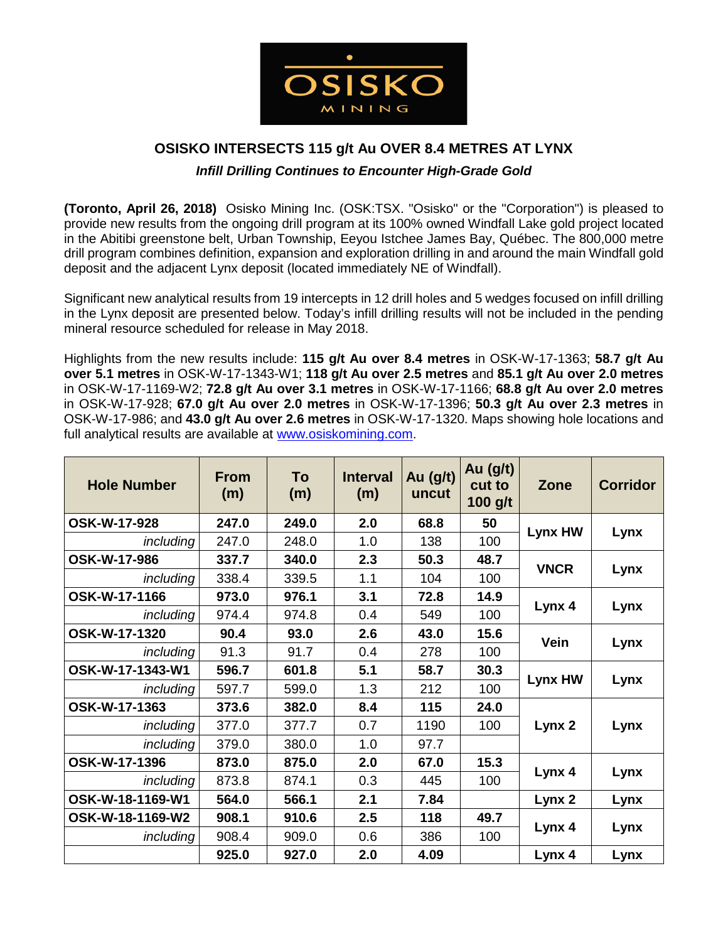

# **OSISKO INTERSECTS 115 g/t Au OVER 8.4 METRES AT LYNX**

# *Infill Drilling Continues to Encounter High-Grade Gold*

**(Toronto, April 26, 2018)** Osisko Mining Inc. (OSK:TSX. "Osisko" or the "Corporation") is pleased to provide new results from the ongoing drill program at its 100% owned Windfall Lake gold project located in the Abitibi greenstone belt, Urban Township, Eeyou Istchee James Bay, Québec. The 800,000 metre drill program combines definition, expansion and exploration drilling in and around the main Windfall gold deposit and the adjacent Lynx deposit (located immediately NE of Windfall).

Significant new analytical results from 19 intercepts in 12 drill holes and 5 wedges focused on infill drilling in the Lynx deposit are presented below. Today's infill drilling results will not be included in the pending mineral resource scheduled for release in May 2018.

Highlights from the new results include: **115 g/t Au over 8.4 metres** in OSK-W-17-1363; **58.7 g/t Au over 5.1 metres** in OSK-W-17-1343-W1; **118 g/t Au over 2.5 metres** and **85.1 g/t Au over 2.0 metres** in OSK-W-17-1169-W2; **72.8 g/t Au over 3.1 metres** in OSK-W-17-1166; **68.8 g/t Au over 2.0 metres** in OSK-W-17-928; **67.0 g/t Au over 2.0 metres** in OSK-W-17-1396; **50.3 g/t Au over 2.3 metres** in OSK-W-17-986; and **43.0 g/t Au over 2.6 metres** in OSK-W-17-1320. Maps showing hole locations and full analytical results are available at [www.osiskomining.com.](http://www.osiskomining.com/)

| <b>Hole Number</b> | <b>From</b><br>(m) | <b>To</b><br>(m) | <b>Interval</b><br>(m) | Au $(g/t)$<br>uncut | Au $(g/t)$<br>cut to<br>$100$ g/t | Zone        | <b>Corridor</b> |
|--------------------|--------------------|------------------|------------------------|---------------------|-----------------------------------|-------------|-----------------|
| OSK-W-17-928       | 247.0              | 249.0            | 2.0                    | 68.8                | 50                                |             | Lynx            |
| <i>including</i>   | 247.0              | 248.0            | 1.0                    | 138                 | 100                               | Lynx HW     |                 |
| OSK-W-17-986       | 337.7              | 340.0            | 2.3                    | 50.3                | 48.7                              |             | Lynx            |
| <i>including</i>   | 338.4              | 339.5            | 1.1                    | 104                 | 100                               | <b>VNCR</b> |                 |
| OSK-W-17-1166      | 973.0              | 976.1            | 3.1                    | 72.8                | 14.9                              |             | Lynx            |
| <i>including</i>   | 974.4              | 974.8            | 0.4                    | 549                 | 100                               | Lynx 4      |                 |
| OSK-W-17-1320      | 90.4               | 93.0             | 2.6                    | 43.0                | 15.6                              |             | Lynx            |
| <i>including</i>   | 91.3               | 91.7             | 0.4                    | 278                 | 100                               | Vein        |                 |
| OSK-W-17-1343-W1   | 596.7              | 601.8            | 5.1                    | 58.7                | 30.3                              |             | Lynx            |
| <i>including</i>   | 597.7              | 599.0            | 1.3                    | 212                 | 100                               | Lynx HW     |                 |
| OSK-W-17-1363      | 373.6              | 382.0            | 8.4                    | 115                 | 24.0                              |             | Lynx            |
| <i>including</i>   | 377.0              | 377.7            | 0.7                    | 1190                | 100                               | Lynx 2      |                 |
| including          | 379.0              | 380.0            | 1.0                    | 97.7                |                                   |             |                 |
| OSK-W-17-1396      | 873.0              | 875.0            | 2.0                    | 67.0                | 15.3                              |             | Lynx            |
| <i>including</i>   | 873.8              | 874.1            | 0.3                    | 445                 | 100                               | Lynx 4      |                 |
| OSK-W-18-1169-W1   | 564.0              | 566.1            | 2.1                    | 7.84                |                                   | Lynx 2      | Lynx            |
| OSK-W-18-1169-W2   | 908.1              | 910.6            | 2.5                    | 118                 | 49.7                              |             | Lynx            |
| <i>including</i>   | 908.4              | 909.0            | 0.6                    | 386                 | 100                               | Lynx 4      |                 |
|                    | 925.0              | 927.0            | 2.0                    | 4.09                |                                   | Lynx 4      | Lynx            |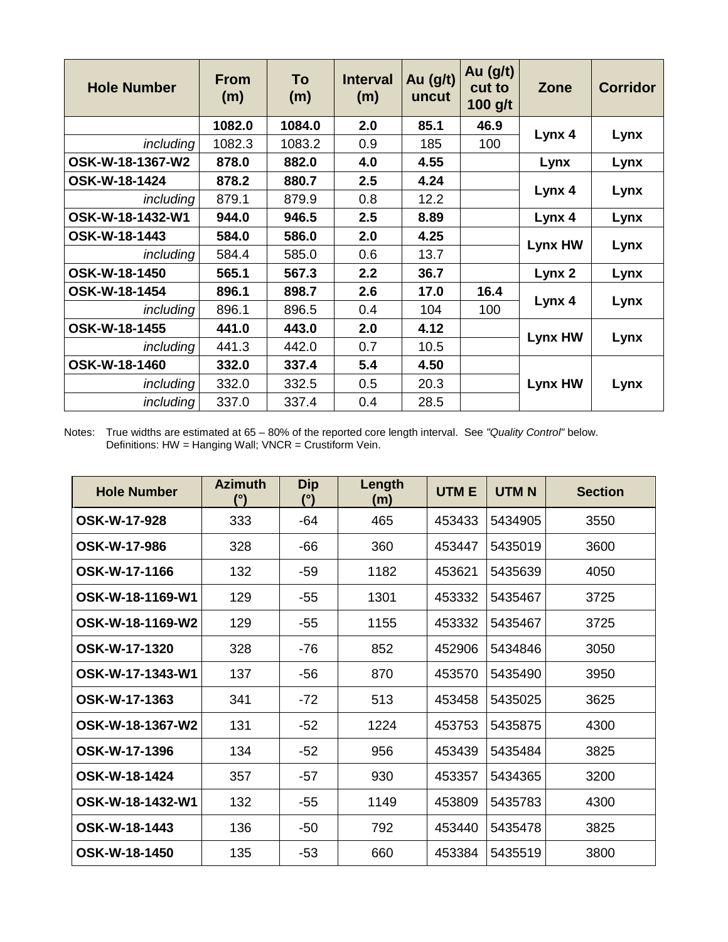| <b>Hole Number</b> | <b>From</b><br>(m) | To<br>(m) | <b>Interval</b><br>(m) | Au $(g/t)$<br>uncut | Au $(g/t)$<br>cut to<br>$100$ g/t | Zone    | <b>Corridor</b> |
|--------------------|--------------------|-----------|------------------------|---------------------|-----------------------------------|---------|-----------------|
|                    | 1082.0             | 1084.0    | 2.0                    | 85.1                | 46.9                              |         | Lynx            |
| including          | 1082.3             | 1083.2    | 0.9                    | 185                 | 100                               | Lynx 4  |                 |
| OSK-W-18-1367-W2   | 878.0              | 882.0     | 4.0                    | 4.55                |                                   | Lynx    | Lynx            |
| OSK-W-18-1424      | 878.2              | 880.7     | 2.5                    | 4.24                |                                   |         | Lynx            |
| <i>including</i>   | 879.1              | 879.9     | 0.8                    | 12.2                |                                   | Lynx 4  |                 |
| OSK-W-18-1432-W1   | 944.0              | 946.5     | 2.5                    | 8.89                |                                   | Lynx 4  | Lynx            |
| OSK-W-18-1443      | 584.0              | 586.0     | 2.0                    | 4.25                |                                   |         | Lynx            |
| <i>including</i>   | 584.4              | 585.0     | 0.6                    | 13.7                |                                   | Lynx HW |                 |
| OSK-W-18-1450      | 565.1              | 567.3     | 2.2                    | 36.7                |                                   | Lynx 2  | Lynx            |
| OSK-W-18-1454      | 896.1              | 898.7     | 2.6                    | 17.0                | 16.4                              |         | Lynx            |
| <i>including</i>   | 896.1              | 896.5     | 0.4                    | 104                 | 100                               | Lynx 4  |                 |
| OSK-W-18-1455      | 441.0              | 443.0     | 2.0                    | 4.12                |                                   |         | Lynx            |
| <i>including</i>   | 441.3              | 442.0     | 0.7                    | 10.5                |                                   | Lynx HW |                 |
| OSK-W-18-1460      | 332.0              | 337.4     | 5.4                    | 4.50                |                                   |         | Lynx            |
| <i>including</i>   | 332.0              | 332.5     | 0.5                    | 20.3                |                                   | Lynx HW |                 |
| <i>including</i>   | 337.0              | 337.4     | 0.4                    | 28.5                |                                   |         |                 |

Notes: True widths are estimated at 65 – 80% of the reported core length interval. See *"Quality Control"* below. Definitions: HW = Hanging Wall; VNCR = Crustiform Vein.

| <b>Hole Number</b>  | <b>Azimuth</b> | <b>Dip</b><br>(°) | Length<br>(m) | <b>UTME</b> | <b>UTMN</b> | <b>Section</b> |
|---------------------|----------------|-------------------|---------------|-------------|-------------|----------------|
| <b>OSK-W-17-928</b> | 333            | $-64$             | 465           | 453433      | 5434905     | 3550           |
| OSK-W-17-986        | 328            | $-66$             | 360           | 453447      | 5435019     | 3600           |
| OSK-W-17-1166       | 132            | $-59$             | 1182          | 453621      | 5435639     | 4050           |
| OSK-W-18-1169-W1    | 129            | -55               | 1301          | 453332      | 5435467     | 3725           |
| OSK-W-18-1169-W2    | 129            | -55               | 1155          | 453332      | 5435467     | 3725           |
| OSK-W-17-1320       | 328            | $-76$             | 852           | 452906      | 5434846     | 3050           |
| OSK-W-17-1343-W1    | 137            | $-56$             | 870           | 453570      | 5435490     | 3950           |
| OSK-W-17-1363       | 341            | $-72$             | 513           | 453458      | 5435025     | 3625           |
| OSK-W-18-1367-W2    | 131            | $-52$             | 1224          | 453753      | 5435875     | 4300           |
| OSK-W-17-1396       | 134            | $-52$             | 956           | 453439      | 5435484     | 3825           |
| OSK-W-18-1424       | 357            | $-57$             | 930           | 453357      | 5434365     | 3200           |
| OSK-W-18-1432-W1    | 132            | $-55$             | 1149          | 453809      | 5435783     | 4300           |
| OSK-W-18-1443       | 136            | $-50$             | 792           | 453440      | 5435478     | 3825           |
| OSK-W-18-1450       | 135            | $-53$             | 660           | 453384      | 5435519     | 3800           |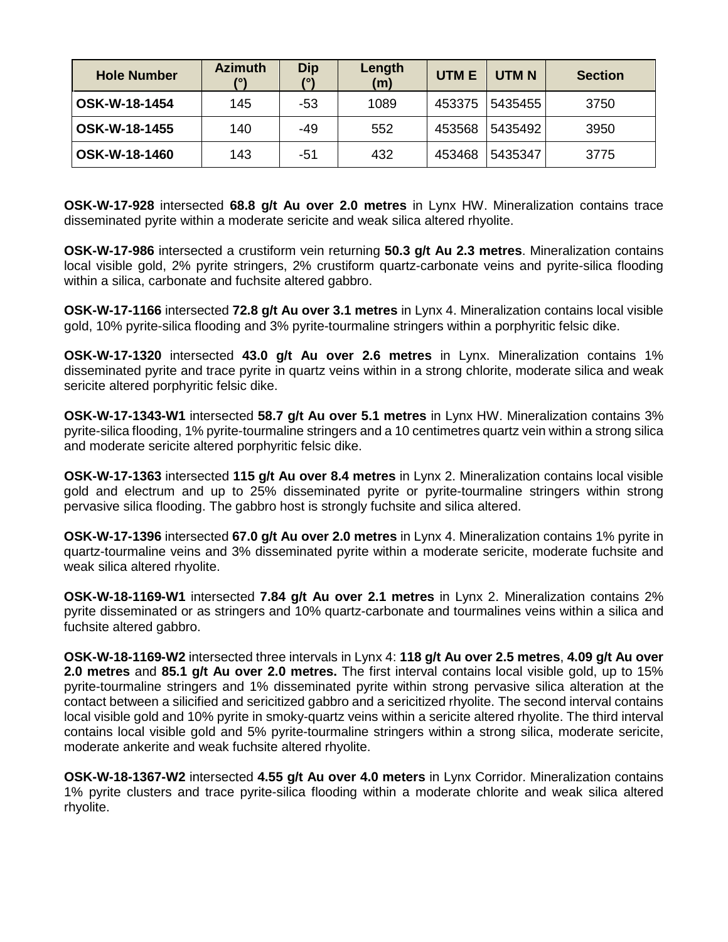| <b>Hole Number</b>   | <b>Azimuth</b> | Dip<br>70 N | Length<br>(m) | <b>UTME</b> | <b>UTMN</b> | <b>Section</b> |
|----------------------|----------------|-------------|---------------|-------------|-------------|----------------|
| OSK-W-18-1454        | 145            | -53         | 1089          | 453375      | 5435455     | 3750           |
| OSK-W-18-1455        | 140            | -49         | 552           | 453568      | 5435492     | 3950           |
| <b>OSK-W-18-1460</b> | 143            | -51         | 432           | 453468      | 5435347     | 3775           |

**OSK-W-17-928** intersected **68.8 g/t Au over 2.0 metres** in Lynx HW. Mineralization contains trace disseminated pyrite within a moderate sericite and weak silica altered rhyolite.

**OSK-W-17-986** intersected a crustiform vein returning **50.3 g/t Au 2.3 metres**. Mineralization contains local visible gold, 2% pyrite stringers, 2% crustiform quartz-carbonate veins and pyrite-silica flooding within a silica, carbonate and fuchsite altered gabbro.

**OSK-W-17-1166** intersected **72.8 g/t Au over 3.1 metres** in Lynx 4. Mineralization contains local visible gold, 10% pyrite-silica flooding and 3% pyrite-tourmaline stringers within a porphyritic felsic dike.

**OSK-W-17-1320** intersected **43.0 g/t Au over 2.6 metres** in Lynx. Mineralization contains 1% disseminated pyrite and trace pyrite in quartz veins within in a strong chlorite, moderate silica and weak sericite altered porphyritic felsic dike.

**OSK-W-17-1343-W1** intersected **58.7 g/t Au over 5.1 metres** in Lynx HW. Mineralization contains 3% pyrite-silica flooding, 1% pyrite-tourmaline stringers and a 10 centimetres quartz vein within a strong silica and moderate sericite altered porphyritic felsic dike.

**OSK-W-17-1363** intersected **115 g/t Au over 8.4 metres** in Lynx 2. Mineralization contains local visible gold and electrum and up to 25% disseminated pyrite or pyrite-tourmaline stringers within strong pervasive silica flooding. The gabbro host is strongly fuchsite and silica altered.

**OSK-W-17-1396** intersected **67.0 g/t Au over 2.0 metres** in Lynx 4. Mineralization contains 1% pyrite in quartz-tourmaline veins and 3% disseminated pyrite within a moderate sericite, moderate fuchsite and weak silica altered rhyolite.

**OSK-W-18-1169-W1** intersected **7.84 g/t Au over 2.1 metres** in Lynx 2. Mineralization contains 2% pyrite disseminated or as stringers and 10% quartz-carbonate and tourmalines veins within a silica and fuchsite altered gabbro.

**OSK-W-18-1169-W2** intersected three intervals in Lynx 4: **118 g/t Au over 2.5 metres**, **4.09 g/t Au over 2.0 metres** and **85.1 g/t Au over 2.0 metres.** The first interval contains local visible gold, up to 15% pyrite-tourmaline stringers and 1% disseminated pyrite within strong pervasive silica alteration at the contact between a silicified and sericitized gabbro and a sericitized rhyolite. The second interval contains local visible gold and 10% pyrite in smoky-quartz veins within a sericite altered rhyolite. The third interval contains local visible gold and 5% pyrite-tourmaline stringers within a strong silica, moderate sericite, moderate ankerite and weak fuchsite altered rhyolite.

**OSK-W-18-1367-W2** intersected **4.55 g/t Au over 4.0 meters** in Lynx Corridor. Mineralization contains 1% pyrite clusters and trace pyrite-silica flooding within a moderate chlorite and weak silica altered rhyolite.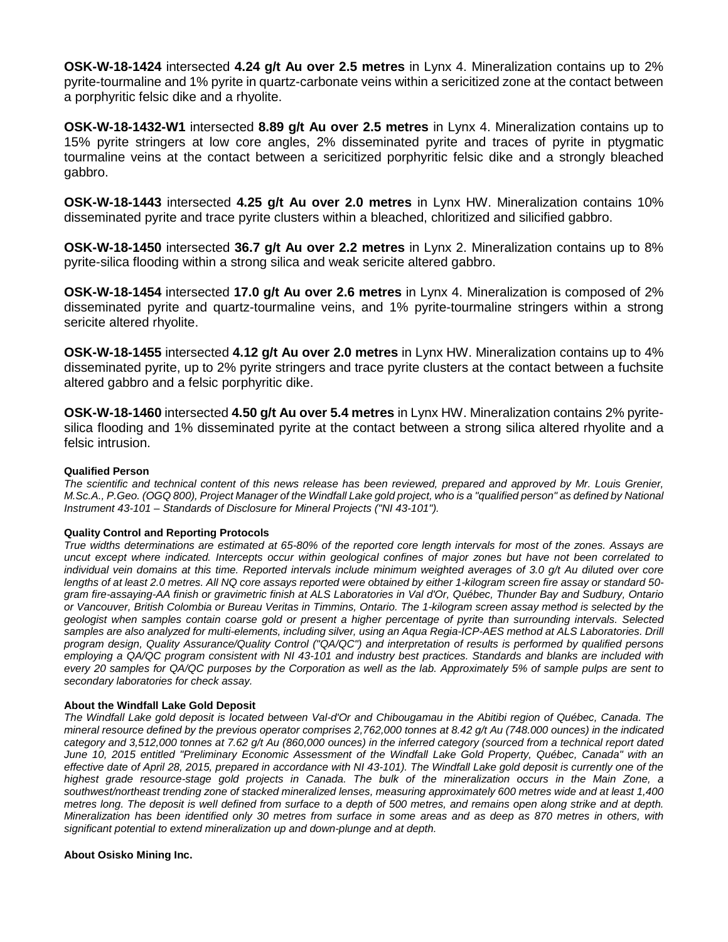**OSK-W-18-1424** intersected **4.24 g/t Au over 2.5 metres** in Lynx 4. Mineralization contains up to 2% pyrite-tourmaline and 1% pyrite in quartz-carbonate veins within a sericitized zone at the contact between a porphyritic felsic dike and a rhyolite.

**OSK-W-18-1432-W1** intersected **8.89 g/t Au over 2.5 metres** in Lynx 4. Mineralization contains up to 15% pyrite stringers at low core angles, 2% disseminated pyrite and traces of pyrite in ptygmatic tourmaline veins at the contact between a sericitized porphyritic felsic dike and a strongly bleached gabbro.

**OSK-W-18-1443** intersected **4.25 g/t Au over 2.0 metres** in Lynx HW. Mineralization contains 10% disseminated pyrite and trace pyrite clusters within a bleached, chloritized and silicified gabbro.

**OSK-W-18-1450** intersected **36.7 g/t Au over 2.2 metres** in Lynx 2. Mineralization contains up to 8% pyrite-silica flooding within a strong silica and weak sericite altered gabbro.

**OSK-W-18-1454** intersected **17.0 g/t Au over 2.6 metres** in Lynx 4. Mineralization is composed of 2% disseminated pyrite and quartz-tourmaline veins, and 1% pyrite-tourmaline stringers within a strong sericite altered rhyolite.

**OSK-W-18-1455** intersected **4.12 g/t Au over 2.0 metres** in Lynx HW. Mineralization contains up to 4% disseminated pyrite, up to 2% pyrite stringers and trace pyrite clusters at the contact between a fuchsite altered gabbro and a felsic porphyritic dike.

**OSK-W-18-1460** intersected **4.50 g/t Au over 5.4 metres** in Lynx HW. Mineralization contains 2% pyritesilica flooding and 1% disseminated pyrite at the contact between a strong silica altered rhyolite and a felsic intrusion.

# **Qualified Person**

*The scientific and technical content of this news release has been reviewed, prepared and approved by Mr. Louis Grenier, M.Sc.A., P.Geo. (OGQ 800), Project Manager of the Windfall Lake gold project, who is a "qualified person" as defined by National Instrument 43-101 – Standards of Disclosure for Mineral Projects ("NI 43-101").* 

## **Quality Control and Reporting Protocols**

*True widths determinations are estimated at 65-80% of the reported core length intervals for most of the zones. Assays are uncut except where indicated. Intercepts occur within geological confines of major zones but have not been correlated to individual vein domains at this time. Reported intervals include minimum weighted averages of 3.0 g/t Au diluted over core lengths of at least 2.0 metres. All NQ core assays reported were obtained by either 1-kilogram screen fire assay or standard 50 gram fire-assaying-AA finish or gravimetric finish at ALS Laboratories in Val d'Or, Québec, Thunder Bay and Sudbury, Ontario or Vancouver, British Colombia or Bureau Veritas in Timmins, Ontario. The 1-kilogram screen assay method is selected by the geologist when samples contain coarse gold or present a higher percentage of pyrite than surrounding intervals. Selected samples are also analyzed for multi-elements, including silver, using an Aqua Regia-ICP-AES method at ALS Laboratories. Drill program design, Quality Assurance/Quality Control ("QA/QC") and interpretation of results is performed by qualified persons employing a QA/QC program consistent with NI 43-101 and industry best practices. Standards and blanks are included with every 20 samples for QA/QC purposes by the Corporation as well as the lab. Approximately 5% of sample pulps are sent to secondary laboratories for check assay.*

#### **About the Windfall Lake Gold Deposit**

*The Windfall Lake gold deposit is located between Val-d'Or and Chibougamau in the Abitibi region of Québec, Canada. The mineral resource defined by the previous operator comprises 2,762,000 tonnes at 8.42 g/t Au (748.000 ounces) in the indicated category and 3,512,000 tonnes at 7.62 g/t Au (860,000 ounces) in the inferred category (sourced from a technical report dated June 10, 2015 entitled "Preliminary Economic Assessment of the Windfall Lake Gold Property, Québec, Canada" with an effective date of April 28, 2015, prepared in accordance with NI 43-101). The Windfall Lake gold deposit is currently one of the highest grade resource-stage gold projects in Canada. The bulk of the mineralization occurs in the Main Zone, a southwest/northeast trending zone of stacked mineralized lenses, measuring approximately 600 metres wide and at least 1,400 metres long. The deposit is well defined from surface to a depth of 500 metres, and remains open along strike and at depth. Mineralization has been identified only 30 metres from surface in some areas and as deep as 870 metres in others, with significant potential to extend mineralization up and down-plunge and at depth.*

#### **About Osisko Mining Inc.**